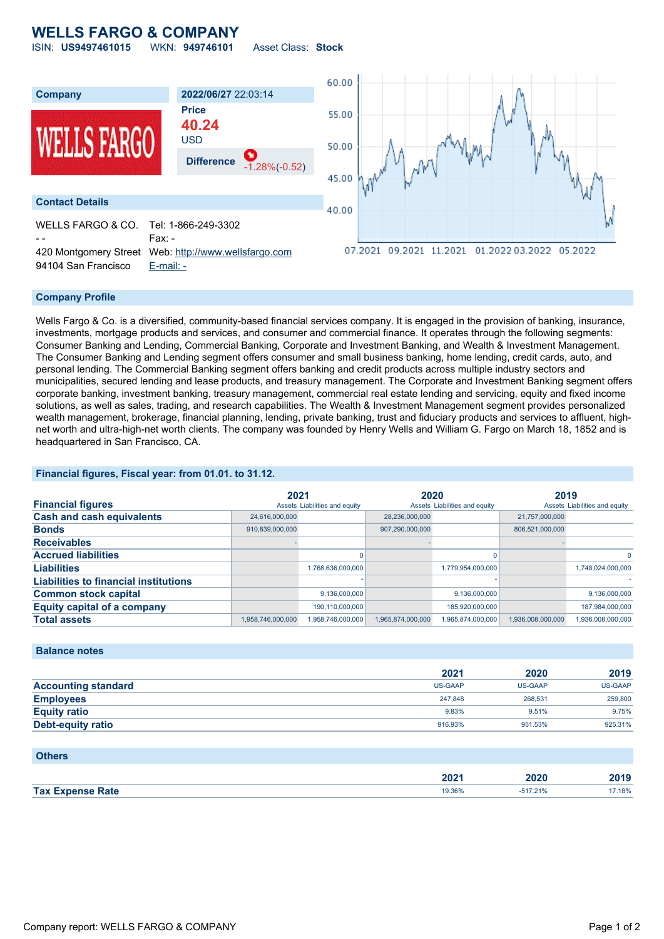# **WELLS FARGO & COMPANY**



#### **Company Profile**

94104 San Francisco [E-mail: -](mailto:-)

Wells Fargo & Co. is a diversified, community-based financial services company. It is engaged in the provision of banking, insurance, investments, mortgage products and services, and consumer and commercial finance. It operates through the following segments: Consumer Banking and Lending, Commercial Banking, Corporate and Investment Banking, and Wealth & Investment Management. The Consumer Banking and Lending segment offers consumer and small business banking, home lending, credit cards, auto, and personal lending. The Commercial Banking segment offers banking and credit products across multiple industry sectors and municipalities, secured lending and lease products, and treasury management. The Corporate and Investment Banking segment offers corporate banking, investment banking, treasury management, commercial real estate lending and servicing, equity and fixed income solutions, as well as sales, trading, and research capabilities. The Wealth & Investment Management segment provides personalized wealth management, brokerage, financial planning, lending, private banking, trust and fiduciary products and services to affluent, highnet worth and ultra-high-net worth clients. The company was founded by Henry Wells and William G. Fargo on March 18, 1852 and is headquartered in San Francisco, CA.

### **Financial figures, Fiscal year: from 01.01. to 31.12.**

|                                              | 2021              |                               | 2020              |                               | 2019              |                               |
|----------------------------------------------|-------------------|-------------------------------|-------------------|-------------------------------|-------------------|-------------------------------|
| <b>Financial figures</b>                     |                   | Assets Liabilities and equity |                   | Assets Liabilities and equity |                   | Assets Liabilities and equity |
| <b>Cash and cash equivalents</b>             | 24,616,000,000    |                               | 28,236,000,000    |                               | 21,757,000,000    |                               |
| <b>Bonds</b>                                 | 910,839,000,000   |                               | 907,290,000,000   |                               | 806,521,000,000   |                               |
| <b>Receivables</b>                           |                   |                               |                   |                               |                   |                               |
| <b>Accrued liabilities</b>                   |                   |                               |                   |                               |                   | $\mathbf{0}$                  |
| <b>Liabilities</b>                           |                   | 1,768,636,000,000             |                   | 1,779,954,000,000             |                   | 1,748,024,000,000             |
| <b>Liabilities to financial institutions</b> |                   |                               |                   |                               |                   |                               |
| <b>Common stock capital</b>                  |                   | 9,136,000,000                 |                   | 9,136,000,000                 |                   | 9,136,000,000                 |
| <b>Equity capital of a company</b>           |                   | 190.110.000.000               |                   | 185.920.000.000               |                   | 187,984,000,000               |
| <b>Total assets</b>                          | 1,958,746,000,000 | 1.958.746.000.000             | 1,965,874,000,000 | 1,965,874,000,000             | 1,936,008,000,000 | 1.936.008.000.000             |

#### **Balance notes**

|                            | 2021           | 2020    | 2019    |
|----------------------------|----------------|---------|---------|
| <b>Accounting standard</b> | <b>US-GAAP</b> | US-GAAP | US-GAAP |
| <b>Employees</b>           | 247.848        | 268,531 | 259,800 |
| <b>Equity ratio</b>        | 9.83%          | 9.51%   | 9.75%   |
| Debt-equity ratio          | 916.93%        | 951.53% | 925.31% |

| <b>Others</b>           |        |            |        |
|-------------------------|--------|------------|--------|
|                         | 2021   | 2020       | 2019   |
| <b>Tax Expense Rate</b> | 19.36% | $-517.21%$ | 17.18% |